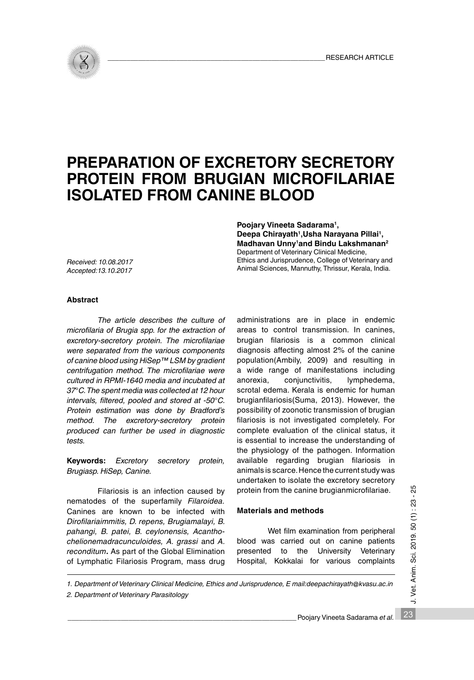

# **PREPARATION OF EXCRETORY SECRETORY PROTEIN FROM BRUGIAN MICROFILARIAE ISOLATED FROM CANINE BLOOD**

**Poojary Vineeta Sadarama1, Deepa Chirayath1,Usha Narayana Pillai1, Madhavan Unny1and Bindu Lakshmanan2** Department of Veterinary Clinical Medicine,

Ethics and Jurisprudence, College of Veterinary and Animal Sciences, Mannuthy, Thrissur, Kerala, India.

*Received: 10.08.2017 Accepted:13.10.2017*

## **Abstract**

*The article describes the culture of microfilaria of Brugia spp. for the extraction of excretory-secretory protein. The microfilariae were separated from the various components of canine blood using HiSep™ LSM by gradient centrifugation method. The microfilariae were cultured in RPMI-1640 media and incubated at 37°C. The spent media was collected at 12 hour intervals, filtered, pooled and stored at -50°C. Protein estimation was done by Bradford's method. The excretory-secretory protein produced can further be used in diagnostic tests.* 

**Keywords:** *Excretory secretory protein, Brugiasp. HiSep, Canine.* 

Filariosis is an infection caused by nematodes of the superfamily *Filaroidea.* Canines are known to be infected with *Dirofilariaimmitis, D. repens, Brugiamalayi, B. pahangi, B. patei, B. ceylonensis, Acanthochelionemadracunculoides, A. grassi* and *A. reconditum***.** As part of the Global Elimination of Lymphatic Filariosis Program, mass drug

*2. Department of Veterinary Parasitology*

administrations are in place in endemic areas to control transmission. In canines, brugian filariosis is a common clinical diagnosis affecting almost 2% of the canine population(Ambily, 2009) and resulting in a wide range of manifestations including anorexia, conjunctivitis, lymphedema, scrotal edema. Kerala is endemic for human brugianfilariosis(Suma, 2013). However, the possibility of zoonotic transmission of brugian filariosis is not investigated completely. For complete evaluation of the clinical status, it is essential to increase the understanding of the physiology of the pathogen. Information available regarding brugian filariosis in animals is scarce. Hence the current study was undertaken to isolate the excretory secretory protein from the canine brugianmicrofilariae.

#### **Materials and methods**

Wet film examination from peripheral blood was carried out on canine patients presented to the University Veterinary Hospital, Kokkalai for various complaints

*1. Department of Veterinary Clinical Medicine, Ethics and Jurisprudence, E mail:deepachirayath@kvasu.ac.in*

Poojary Vineeta Sadarama et al.

J. Vet. Anim. Sci. 2019. 50 (1): 23 - 25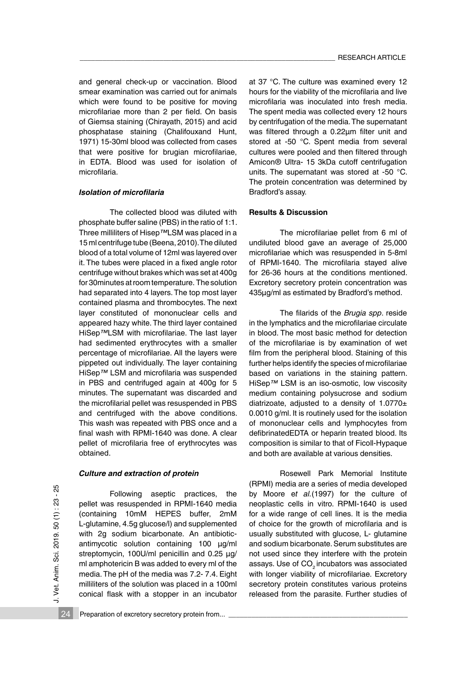and general check-up or vaccination. Blood smear examination was carried out for animals which were found to be positive for moving microfilariae more than 2 per field. On basis of Giemsa staining (Chirayath, 2015) and acid phosphatase staining (Chalifouxand Hunt, 1971) 15-30ml blood was collected from cases that were positive for brugian microfilariae, in EDTA. Blood was used for isolation of microfilaria.

#### *Isolation of microfilaria*

The collected blood was diluted with phosphate buffer saline (PBS) in the ratio of 1:1. Three milliliters of Hisep*™*LSM was placed in a 15 ml centrifuge tube (Beena, 2010). The diluted blood of a total volume of 12ml was layered over it. The tubes were placed in a fixed angle rotor centrifuge without brakes which was set at 400g for 30minutes at room temperature. The solution had separated into 4 layers. The top most layer contained plasma and thrombocytes. The next layer constituted of mononuclear cells and appeared hazy white. The third layer contained HiSep*™*LSM with microfilariae. The last layer had sedimented erythrocytes with a smaller percentage of microfilariae. All the layers were pippeted out individually. The layer containing HiSep*™* LSM and microfilaria was suspended in PBS and centrifuged again at 400g for 5 minutes. The supernatant was discarded and the microfilarial pellet was resuspended in PBS and centrifuged with the above conditions. This wash was repeated with PBS once and a final wash with RPMI-1640 was done. A clear pellet of microfilaria free of erythrocytes was obtained.

#### *Culture and extraction of protein*

Following aseptic practices, the pellet was resuspended in RPMI-1640 media (containing 10mM HEPES buffer, 2mM L-glutamine, 4.5g glucose/l) and supplemented with 2g sodium bicarbonate. An antibioticantimycotic solution containing 100 µg/ml streptomycin, 100U/ml penicillin and 0.25 µg/ ml amphotericin B was added to every ml of the media. The pH of the media was 7.2- 7.4. Eight milliliters of the solution was placed in a 100ml conical flask with a stopper in an incubator at 37 *°*C. The culture was examined every 12 hours for the viability of the microfilaria and live microfilaria was inoculated into fresh media. The spent media was collected every 12 hours by centrifugation of the media. The supernatant was filtered through a 0.22um filter unit and stored at -50 *°*C. Spent media from several cultures were pooled and then filtered through Amicon® Ultra- 15 3kDa cutoff centrifugation units. The supernatant was stored at -50 *°*C. The protein concentration was determined by Bradford's assay.

#### **Results & Discussion**

 The microfilariae pellet from 6 ml of undiluted blood gave an average of 25,000 microfilariae which was resuspended in 5-8ml of RPMI-1640. The microfilaria stayed alive for 26-36 hours at the conditions mentioned. Excretory secretory protein concentration was 435µg/ml as estimated by Bradford's method.

 The filarids of the *Brugia spp*. reside in the lymphatics and the microfilariae circulate in blood. The most basic method for detection of the microfilariae is by examination of wet film from the peripheral blood. Staining of this further helps identify the species of microfilariae based on variations in the staining pattern. HiSep*™* LSM is an iso-osmotic, low viscosity medium containing polysucrose and sodium diatrizoate, adjusted to a density of  $1.0770 \pm$ 0.0010 g/ml. It is routinely used for the isolation of mononuclear cells and lymphocytes from defibrinatedEDTA or heparin treated blood. Its composition is similar to that of Ficoll-Hypaque and both are available at various densities.

Rosewell Park Memorial Institute (RPMI) media are a series of media developed by Moore e*t al.*(1997) for the culture of neoplastic cells in vitro. RPMI-1640 is used for a wide range of cell lines. It is the media of choice for the growth of microfilaria and is usually substituted with glucose, L- glutamine and sodium bicarbonate. Serum substitutes are not used since they interfere with the protein assays. Use of CO<sub>2</sub> incubators was associated with longer viability of microfilariae. Excretory secretory protein constitutes various proteins released from the parasite. Further studies of

 $\overline{24}$